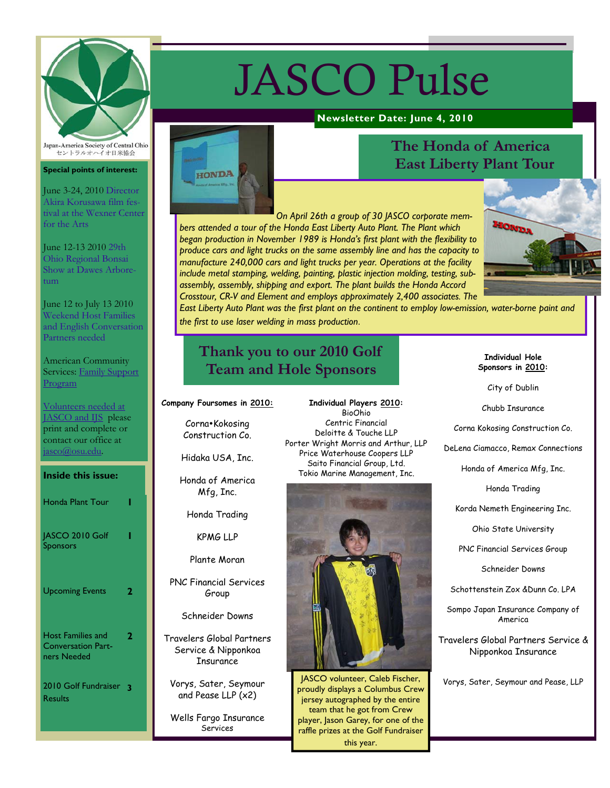

Japan-America Society of Central Ohio セントラルオハイオ日米協会

#### **Special points of interest:**

June 3-24, 2010 Director Akira Korusawa film festival at the Wexner Center for the Arts

June 12-13 2010 29th Ohio Regional Bonsai Show at Dawes Arboretum

June 12 to July 13 2010 Weekend Host Families and English Conversation Partners needed

American Community Services: Family Support Program

Volunteers needed at JASCO and IJS please print and complete or contact our office at asco@osu.edu.

| <b>Inside this issue:</b>                                            |   |
|----------------------------------------------------------------------|---|
| <b>Honda Plant Tour</b>                                              |   |
| <b>IASCO 2010 Golf</b><br>Sponsors                                   |   |
| <b>Upcoming Events</b>                                               |   |
| <b>Host Families and</b><br><b>Conversation Part-</b><br>ners Needed | 2 |
| 2010 Golf Fundraiser<br><b>Results</b>                               | 3 |

# JASCO Pulse

# **Newsletter Date: June 4, 2010**



# **The Honda of America East Liberty Plant Tour**

*On April 26th a group of 30 JASCO corporate members attended a tour of the Honda East Liberty Auto Plant. The Plant which began production in November 1989 is Honda's first plant with the flexibility to produce cars and light trucks on the same assembly line and has the capacity to manufacture 240,000 cars and light trucks per year. Operations at the facility include metal stamping, welding, painting, plastic injection molding, testing, subassembly, assembly, shipping and export. The plant builds the Honda Accord Crosstour, CR-V and Element and employs approximately 2,400 associates. The* 

*East Liberty Auto Plant was the first plant on the continent to employ low-emission, water-borne paint and the first to use laser welding in mass production*.

# **Thank you to our 2010 Golf Team and Hole Sponsors**

**Company Foursomes in 2010:**

Corna•Kokosing Construction Co.

Hidaka USA, Inc.

Honda of America Mfg, Inc.

Honda Trading

KPMG LLP

Plante Moran

PNC Financial Services Group

Schneider Downs

Travelers Global Partners Service & Nipponkoa **Insurance** 

Vorys, Sater, Seymour and Pease LLP (x2)

Wells Fargo Insurance **Services** 

**Individual Players 2010:**  BioOhio Centric Financial Deloitte & Touche LLP Porter Wright Morris and Arthur, LLP Price Waterhouse Coopers LLP Saito Financial Group, Ltd. Tokio Marine Management, Inc.



JASCO volunteer, Caleb Fischer, proudly displays a Columbus Crew jersey autographed by the entire team that he got from Crew player, Jason Garey, for one of the raffle prizes at the Golf Fundraiser this year.

#### **Individual Hole Sponsors in 2010:**

City of Dublin

Chubb Insurance

Corna Kokosing Construction Co.

DeLena Ciamacco, Remax Connections

Honda of America Mfg, Inc.

Honda Trading

Korda Nemeth Engineering Inc.

Ohio State University

PNC Financial Services Group

Schneider Downs

Schottenstein Zox &Dunn Co. LPA

Sompo Japan Insurance Company of America

Travelers Global Partners Service & Nipponkoa Insurance

Vorys, Sater, Seymour and Pease, LLP

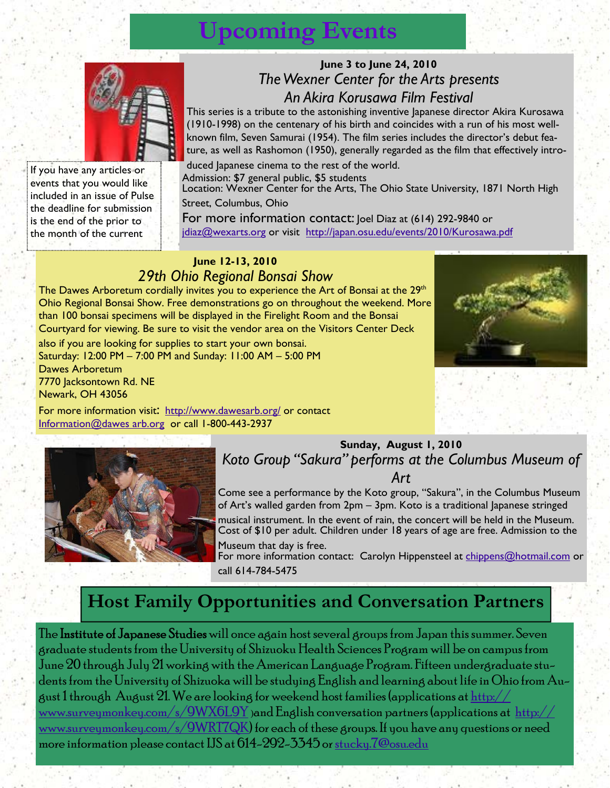# **Upcoming Events**



If you have any articles or events that you would like included in an issue of Pulse the deadline for submission is the end of the prior to the month of the current

# **June 3 to June 24, 2010**  *The Wexner Center for the Arts presents An Akira Korusawa Film Festival*

This series is a tribute to the astonishing inventive Japanese director Akira Kurosawa (1910-1998) on the centenary of his birth and coincides with a run of his most wellknown film, Seven Samurai (1954). The film series includes the director's debut feature, as well as Rashomon (1950), generally regarded as the film that effectively intro-

duced Japanese cinema to the rest of the world. Admission: \$7 general public, \$5 students Location: Wexner Center for the Arts, The Ohio State University, 1871 North High

Street, Columbus, Ohio

For more information contact: Joel Diaz at (614) 292-9840 or jdiaz@wexarts.org or visit http://japan.osu.edu/events/2010/Kurosawa.pdf

# **June 12-13, 2010**  *29th Ohio Regional Bonsai Show*

The Dawes Arboretum cordially invites you to experience the Art of Bonsai at the  $29<sup>th</sup>$ Ohio Regional Bonsai Show. Free demonstrations go on throughout the weekend. More than 100 bonsai specimens will be displayed in the Firelight Room and the Bonsai Courtyard for viewing. Be sure to visit the vendor area on the Visitors Center Deck

also if you are looking for supplies to start your own bonsai. Saturday: 12:00 PM – 7:00 PM and Sunday: 11:00 AM – 5:00 PM Dawes Arboretum 7770 Jacksontown Rd. NE

Newark, OH 43056

For more information visit: http://www.dawesarb.org/ or contact Information@dawes arb.org or call 1-800-443-2937





# **Sunday, August 1, 2010**  *Koto Group "Sakura" performs at the Columbus Museum of Art*

Come see a performance by the Koto group, "Sakura", in the Columbus Museum of Art's walled garden from 2pm – 3pm. Koto is a traditional Japanese stringed musical instrument. In the event of rain, the concert will be held in the Museum.

Cost of \$10 per adult. Children under 18 years of age are free. Admission to the Museum that day is free.

For more information contact: Carolyn Hippensteel at chippens@hotmail.com or call 614-784-5475

# **Host Family Opportunities and Conversation Partners**

The **Institute of Japanese Studies** will once again host several groups from Japan this summer. Seven graduate students from the University of Shizuoku Health Sciences Program will be on campus from June 20 through July 21 working with the American Language Program. Fifteen undergraduate students from the University of Shizuoka will be studying English and learning about life in Ohio from August 1 through  $\,$ August  $2$ 1. We are looking for weekend host families (applications at  $\frac{\text{http://}}{\text{http://}}$ www.surveymonkey.com/s/9WX6L9Y )and English conversation partners (applications at  $\frac{\text{http://}}{\text{http://}}$ www.surveymon $\rm{key.com/s}/9WRT7QK)$  for each of these groups. If you have any questions or need more information please contact IJS at  $614$ –292–3345 or <u>stucky.7@osu.edu</u>